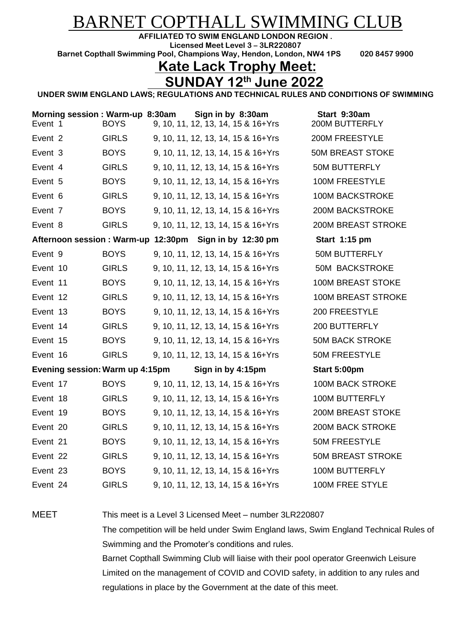## BARNET COPTHALL SWIMMING CLUB

**AFFILIATED TO SWIM ENGLAND LONDON REGION .**

**Licensed Meet Level 3 – 3LR220807 Barnet Copthall Swimming Pool, Champions Way, Hendon, London, NW4 1PS 020 8457 9900**

## **Kate Lack Trophy Meet:**

## **SUNDAY 12 th June 2022**

**UNDER SWIM ENGLAND LAWS; REGULATIONS AND TECHNICAL RULES AND CONDITIONS OF SWIMMING**

| Event 2<br><b>GIRLS</b><br>9, 10, 11, 12, 13, 14, 15 & 16+Yrs<br>200M FREESTYLE             |  |
|---------------------------------------------------------------------------------------------|--|
| Event 3<br><b>BOYS</b><br><b>50M BREAST STOKE</b><br>9, 10, 11, 12, 13, 14, 15 & 16+Yrs     |  |
| <b>GIRLS</b><br><b>50M BUTTERFLY</b><br>Event 4<br>9, 10, 11, 12, 13, 14, 15 & 16+Yrs       |  |
| <b>BOYS</b><br><b>100M FREESTYLE</b><br>Event 5<br>9, 10, 11, 12, 13, 14, 15 & 16+Yrs       |  |
| <b>GIRLS</b><br><b>100M BACKSTROKE</b><br>Event 6<br>9, 10, 11, 12, 13, 14, 15 & 16+Yrs     |  |
| <b>BOYS</b><br>200M BACKSTROKE<br>Event 7<br>9, 10, 11, 12, 13, 14, 15 & 16+Yrs             |  |
| <b>GIRLS</b><br><b>200M BREAST STROKE</b><br>Event 8<br>9, 10, 11, 12, 13, 14, 15 & 16+Yrs  |  |
| Afternoon session: Warm-up 12:30pm Sign in by 12:30 pm<br>Start 1:15 pm                     |  |
| <b>BOYS</b><br>Event 9<br>9, 10, 11, 12, 13, 14, 15 & 16+Yrs<br><b>50M BUTTERFLY</b>        |  |
| <b>GIRLS</b><br><b>50M BACKSTROKE</b><br>Event 10<br>9, 10, 11, 12, 13, 14, 15 & 16+Yrs     |  |
| <b>100M BREAST STOKE</b><br>Event 11<br><b>BOYS</b><br>9, 10, 11, 12, 13, 14, 15 & 16+Yrs   |  |
| <b>GIRLS</b><br><b>100M BREAST STROKE</b><br>Event 12<br>9, 10, 11, 12, 13, 14, 15 & 16+Yrs |  |
| <b>BOYS</b><br>200 FREESTYLE<br>Event 13<br>9, 10, 11, 12, 13, 14, 15 & 16+Yrs              |  |
| <b>GIRLS</b><br>200 BUTTERFLY<br>Event 14<br>9, 10, 11, 12, 13, 14, 15 & 16+Yrs             |  |
| <b>BOYS</b><br><b>50M BACK STROKE</b><br>Event 15<br>9, 10, 11, 12, 13, 14, 15 & 16+Yrs     |  |
| <b>GIRLS</b><br><b>50M FREESTYLE</b><br>Event 16<br>9, 10, 11, 12, 13, 14, 15 & 16+Yrs      |  |
| Evening session: Warm up 4:15pm<br>Sign in by 4:15pm<br>Start 5:00pm                        |  |
| <b>BOYS</b><br><b>100M BACK STROKE</b><br>Event 17<br>9, 10, 11, 12, 13, 14, 15 & 16+Yrs    |  |
| <b>GIRLS</b><br><b>100M BUTTERFLY</b><br>Event 18<br>9, 10, 11, 12, 13, 14, 15 & 16+Yrs     |  |
| <b>BOYS</b><br><b>200M BREAST STOKE</b><br>Event 19<br>9, 10, 11, 12, 13, 14, 15 & 16+Yrs   |  |
| <b>GIRLS</b><br><b>200M BACK STROKE</b><br>Event 20<br>9, 10, 11, 12, 13, 14, 15 & 16+Yrs   |  |
| <b>BOYS</b><br><b>50M FREESTYLE</b><br>Event 21<br>9, 10, 11, 12, 13, 14, 15 & 16+Yrs       |  |
| <b>GIRLS</b><br><b>50M BREAST STROKE</b><br>Event 22<br>9, 10, 11, 12, 13, 14, 15 & 16+Yrs  |  |
| Event 23<br><b>BOYS</b><br><b>100M BUTTERFLY</b><br>9, 10, 11, 12, 13, 14, 15 & 16+Yrs      |  |
| 100M FREE STYLE<br>Event 24<br><b>GIRLS</b><br>9, 10, 11, 12, 13, 14, 15 & 16+Yrs           |  |

MEET This meet is a Level 3 Licensed Meet – number 3LR220807

The competition will be held under Swim England laws, Swim England Technical Rules of Swimming and the Promoter's conditions and rules.

Barnet Copthall Swimming Club will liaise with their pool operator Greenwich Leisure Limited on the management of COVID and COVID safety, in addition to any rules and regulations in place by the Government at the date of this meet.